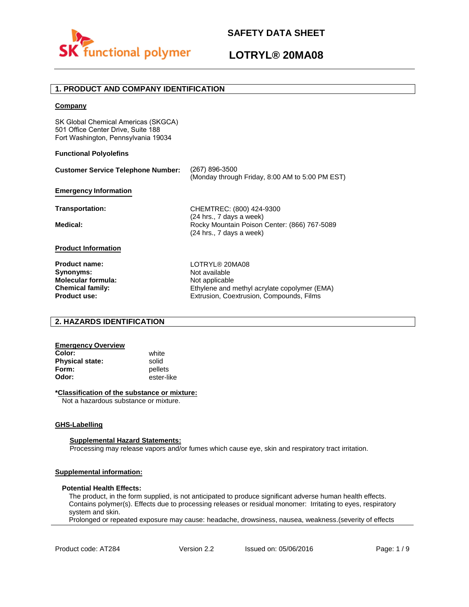

# **LOTRYL® 20MA08**

## **1. PRODUCT AND COMPANY IDENTIFICATION**

## **Company**

SK Global Chemical Americas (SKGCA) 501 Office Center Drive, Suite 188 Fort Washington, Pennsylvania 19034

## **Functional Polyolefins**

| <b>Customer Service Telephone Number:</b>                                                 | (267) 896-3500<br>(Monday through Friday, 8:00 AM to 5:00 PM EST)                                 |
|-------------------------------------------------------------------------------------------|---------------------------------------------------------------------------------------------------|
| <b>Emergency Information</b>                                                              |                                                                                                   |
| Transportation:                                                                           | CHEMTREC: (800) 424-9300<br>(24 hrs., 7 days a week)                                              |
| Medical:                                                                                  | Rocky Mountain Poison Center: (866) 767-5089<br>(24 hrs., 7 days a week)                          |
| <b>Product Information</b>                                                                |                                                                                                   |
| <b>Product name:</b><br>Synonyms:<br><b>Molecular formula:</b><br><b>Chemical family:</b> | LOTRYL® 20MA08<br>Not available<br>Not applicable<br>Ethylene and methyl acrylate copolymer (EMA) |
| <b>Product use:</b>                                                                       | Extrusion, Coextrusion, Compounds, Films                                                          |

## **2. HAZARDS IDENTIFICATION**

## **Emergency Overview**

**Color:** white **Physical state:** solid<br> **Form:** nellet **Form:** pellets<br> **Odor:** ester-li

**Odor:** ester-like

## **\*Classification of the substance or mixture:**

Not a hazardous substance or mixture.

#### **GHS-Labelling**

#### **Supplemental Hazard Statements:**

Processing may release vapors and/or fumes which cause eye, skin and respiratory tract irritation.

## **Supplemental information:**

#### **Potential Health Effects:**

The product, in the form supplied, is not anticipated to produce significant adverse human health effects. Contains polymer(s). Effects due to processing releases or residual monomer: Irritating to eyes, respiratory system and skin.

Prolonged or repeated exposure may cause: headache, drowsiness, nausea, weakness.(severity of effects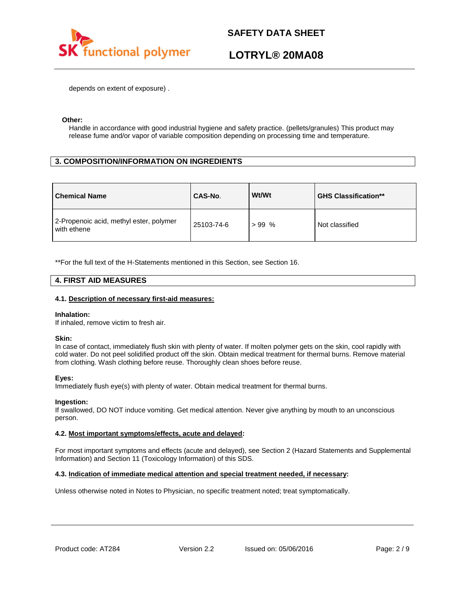

# **LOTRYL® 20MA08**

depends on extent of exposure) .

## **Other:**

Handle in accordance with good industrial hygiene and safety practice. (pellets/granules) This product may release fume and/or vapor of variable composition depending on processing time and temperature.

## **3. COMPOSITION/INFORMATION ON INGREDIENTS**

| <b>Chemical Name</b>                                   | CAS-No.    | Wt/Wt   | <b>GHS Classification**</b> |
|--------------------------------------------------------|------------|---------|-----------------------------|
| 2-Propenoic acid, methyl ester, polymer<br>with ethene | 25103-74-6 | $>99\%$ | Not classified              |

\*\*For the full text of the H-Statements mentioned in this Section, see Section 16.

## **4. FIRST AID MEASURES**

## **4.1. Description of necessary first-aid measures:**

#### **Inhalation:**

If inhaled, remove victim to fresh air.

## **Skin:**

In case of contact, immediately flush skin with plenty of water. If molten polymer gets on the skin, cool rapidly with cold water. Do not peel solidified product off the skin. Obtain medical treatment for thermal burns. Remove material from clothing. Wash clothing before reuse. Thoroughly clean shoes before reuse.

## **Eyes:**

Immediately flush eye(s) with plenty of water. Obtain medical treatment for thermal burns.

## **Ingestion:**

If swallowed, DO NOT induce vomiting. Get medical attention. Never give anything by mouth to an unconscious person.

## **4.2. Most important symptoms/effects, acute and delayed:**

For most important symptoms and effects (acute and delayed), see Section 2 (Hazard Statements and Supplemental Information) and Section 11 (Toxicology Information) of this SDS.

## **4.3. Indication of immediate medical attention and special treatment needed, if necessary:**

Unless otherwise noted in Notes to Physician, no specific treatment noted; treat symptomatically.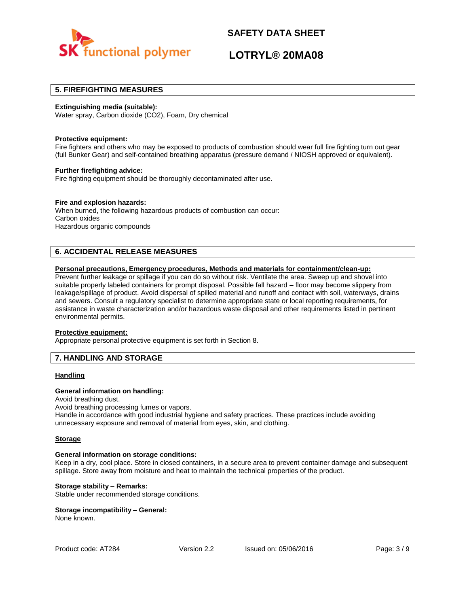

# **LOTRYL® 20MA08**

## **5. FIREFIGHTING MEASURES**

## **Extinguishing media (suitable):**

Water spray, Carbon dioxide (CO2), Foam, Dry chemical

#### **Protective equipment:**

Fire fighters and others who may be exposed to products of combustion should wear full fire fighting turn out gear (full Bunker Gear) and self-contained breathing apparatus (pressure demand / NIOSH approved or equivalent).

#### **Further firefighting advice:**

Fire fighting equipment should be thoroughly decontaminated after use.

## **Fire and explosion hazards:**

When burned, the following hazardous products of combustion can occur: Carbon oxides Hazardous organic compounds

## **6. ACCIDENTAL RELEASE MEASURES**

## **Personal precautions, Emergency procedures, Methods and materials for containment/clean-up:**

Prevent further leakage or spillage if you can do so without risk. Ventilate the area. Sweep up and shovel into suitable properly labeled containers for prompt disposal. Possible fall hazard – floor may become slippery from leakage/spillage of product. Avoid dispersal of spilled material and runoff and contact with soil, waterways, drains and sewers. Consult a regulatory specialist to determine appropriate state or local reporting requirements, for assistance in waste characterization and/or hazardous waste disposal and other requirements listed in pertinent environmental permits.

#### **Protective equipment:**

Appropriate personal protective equipment is set forth in Section 8.

## **7. HANDLING AND STORAGE**

## **Handling**

## **General information on handling:**

Avoid breathing dust.

Avoid breathing processing fumes or vapors.

Handle in accordance with good industrial hygiene and safety practices. These practices include avoiding unnecessary exposure and removal of material from eyes, skin, and clothing.

#### **Storage**

#### **General information on storage conditions:**

Keep in a dry, cool place. Store in closed containers, in a secure area to prevent container damage and subsequent spillage. Store away from moisture and heat to maintain the technical properties of the product.

## **Storage stability – Remarks:**

Stable under recommended storage conditions.

#### **Storage incompatibility – General:**  None known.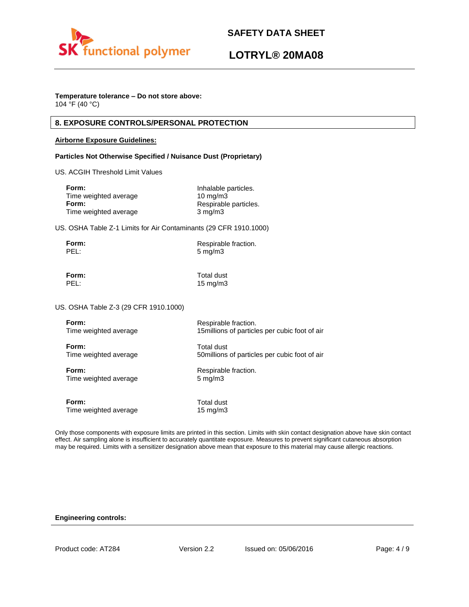

# **LOTRYL® 20MA08**

## **Temperature tolerance – Do not store above:**

104 °F (40 °C)

## **8. EXPOSURE CONTROLS/PERSONAL PROTECTION**

## **Airborne Exposure Guidelines:**

## **Particles Not Otherwise Specified / Nuisance Dust (Proprietary)**

US. ACGIH Threshold Limit Values

| Inhalable particles.  |
|-----------------------|
| $10 \text{ mg/m}$     |
| Respirable particles. |
| $3 \text{ mg/m}$      |
|                       |

US. OSHA Table Z-1 Limits for Air Contaminants (29 CFR 1910.1000)

| Form: | Respirable fraction. |
|-------|----------------------|
| PEL:  | $5 \text{ mg/m}$     |

**Form:** Total dust PEL: 15 mg/m3

US. OSHA Table Z-3 (29 CFR 1910.1000)

| Form:                 | Respirable fraction.                           |
|-----------------------|------------------------------------------------|
| Time weighted average | 15 millions of particles per cubic foot of air |
| Form:                 | Total dust                                     |
| Time weighted average | 50 millions of particles per cubic foot of air |
| Form:                 | Respirable fraction.                           |
| Time weighted average | $5 \text{ mg/m}$                               |
| Form:                 | Total dust                                     |
| Time weighted average | 15 $mg/m3$                                     |

Only those components with exposure limits are printed in this section. Limits with skin contact designation above have skin contact effect. Air sampling alone is insufficient to accurately quantitate exposure. Measures to prevent significant cutaneous absorption may be required. Limits with a sensitizer designation above mean that exposure to this material may cause allergic reactions.

## **Engineering controls:**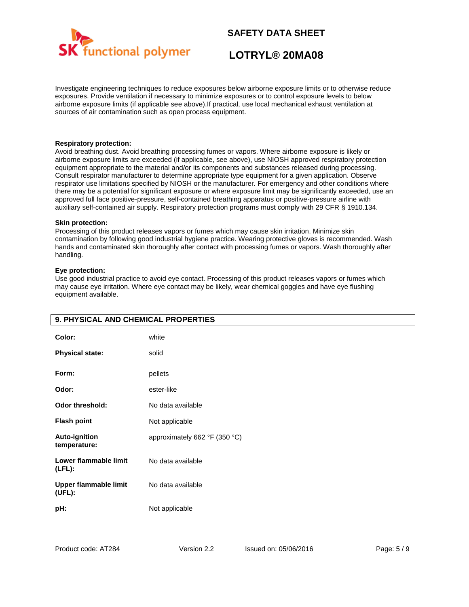

# **LOTRYL® 20MA08**

Investigate engineering techniques to reduce exposures below airborne exposure limits or to otherwise reduce exposures. Provide ventilation if necessary to minimize exposures or to control exposure levels to below airborne exposure limits (if applicable see above).If practical, use local mechanical exhaust ventilation at sources of air contamination such as open process equipment.

## **Respiratory protection:**

Avoid breathing dust. Avoid breathing processing fumes or vapors. Where airborne exposure is likely or airborne exposure limits are exceeded (if applicable, see above), use NIOSH approved respiratory protection equipment appropriate to the material and/or its components and substances released during processing. Consult respirator manufacturer to determine appropriate type equipment for a given application. Observe respirator use limitations specified by NIOSH or the manufacturer. For emergency and other conditions where there may be a potential for significant exposure or where exposure limit may be significantly exceeded, use an approved full face positive-pressure, self-contained breathing apparatus or positive-pressure airline with auxiliary self-contained air supply. Respiratory protection programs must comply with 29 CFR § 1910.134.

## **Skin protection:**

Processing of this product releases vapors or fumes which may cause skin irritation. Minimize skin contamination by following good industrial hygiene practice. Wearing protective gloves is recommended. Wash hands and contaminated skin thoroughly after contact with processing fumes or vapors. Wash thoroughly after handling.

## **Eye protection:**

Use good industrial practice to avoid eye contact. Processing of this product releases vapors or fumes which may cause eye irritation. Where eye contact may be likely, wear chemical goggles and have eye flushing equipment available.

| 9. PHYSICAL AND CHEMICAL PROPERTIES    |                               |
|----------------------------------------|-------------------------------|
| Color:                                 | white                         |
| <b>Physical state:</b>                 | solid                         |
| Form:                                  | pellets                       |
| Odor:                                  | ester-like                    |
| <b>Odor threshold:</b>                 | No data available             |
| <b>Flash point</b>                     | Not applicable                |
| <b>Auto-ignition</b><br>temperature:   | approximately 662 °F (350 °C) |
| Lower flammable limit<br>$(LFL)$ :     | No data available             |
| <b>Upper flammable limit</b><br>(UEL): | No data available             |
| pH:                                    | Not applicable                |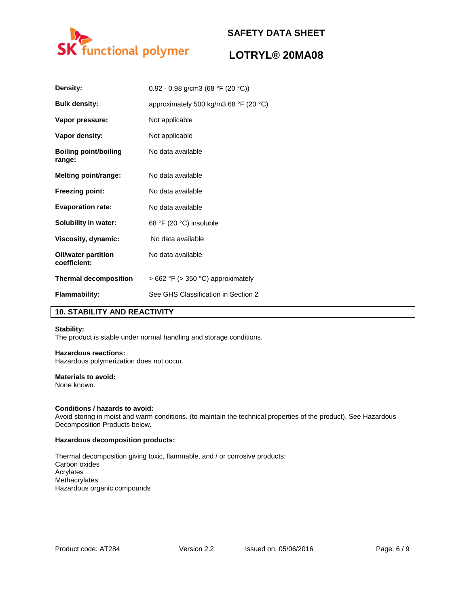

# **LOTRYL® 20MA08**

| Density:                            | 0.92 - 0.98 g/cm3 (68 °F (20 °C))                       |
|-------------------------------------|---------------------------------------------------------|
| <b>Bulk density:</b>                | approximately 500 kg/m3 68 $\degree$ F (20 $\degree$ C) |
| Vapor pressure:                     | Not applicable                                          |
| Vapor density:                      | Not applicable                                          |
| Boiling point/boiling<br>range:     | No data available                                       |
| Melting point/range:                | No data available                                       |
| <b>Freezing point:</b>              | No data available                                       |
| <b>Evaporation rate:</b>            | No data available                                       |
| Solubility in water:                | 68 °F (20 °C) insoluble                                 |
| Viscosity, dynamic:                 | No data available                                       |
| Oil/water partition<br>coefficient: | No data available                                       |
| <b>Thermal decomposition</b>        | $>662$ °F ( $>350$ °C) approximately                    |
| <b>Flammability:</b>                | See GHS Classification in Section 2                     |

## **10. STABILITY AND REACTIVITY**

#### **Stability:**

The product is stable under normal handling and storage conditions.

## **Hazardous reactions:**

Hazardous polymerization does not occur.

## **Materials to avoid:**

None known.

#### **Conditions / hazards to avoid:**

Avoid storing in moist and warm conditions. (to maintain the technical properties of the product). See Hazardous Decomposition Products below.

#### **Hazardous decomposition products:**

Thermal decomposition giving toxic, flammable, and / or corrosive products: Carbon oxides Acrylates Methacrylates Hazardous organic compounds

Product code: AT284 Version 2.2 Issued on: 05/06/2016 Page: 6 / 9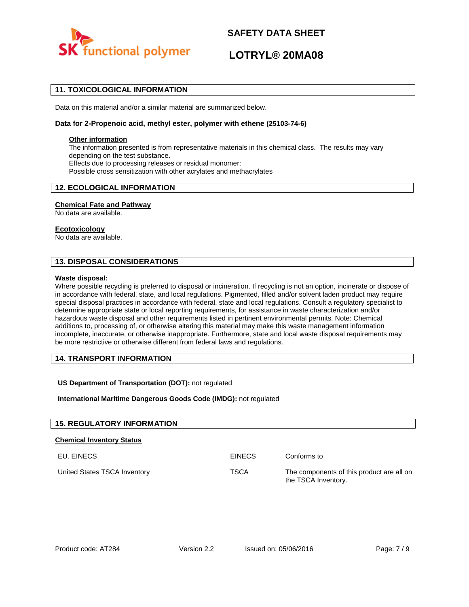

# **LOTRYL® 20MA08**

## **11. TOXICOLOGICAL INFORMATION**

Data on this material and/or a similar material are summarized below.

## **Data for 2-Propenoic acid, methyl ester, polymer with ethene (25103-74-6)**

## **Other information**

The information presented is from representative materials in this chemical class. The results may vary depending on the test substance. Effects due to processing releases or residual monomer: Possible cross sensitization with other acrylates and methacrylates

## **12. ECOLOGICAL INFORMATION**

## **Chemical Fate and Pathway**

No data are available.

## **Ecotoxicology**

No data are available.

## **13. DISPOSAL CONSIDERATIONS**

#### **Waste disposal:**

Where possible recycling is preferred to disposal or incineration. If recycling is not an option, incinerate or dispose of in accordance with federal, state, and local regulations. Pigmented, filled and/or solvent laden product may require special disposal practices in accordance with federal, state and local regulations. Consult a regulatory specialist to determine appropriate state or local reporting requirements, for assistance in waste characterization and/or hazardous waste disposal and other requirements listed in pertinent environmental permits. Note: Chemical additions to, processing of, or otherwise altering this material may make this waste management information incomplete, inaccurate, or otherwise inappropriate. Furthermore, state and local waste disposal requirements may be more restrictive or otherwise different from federal laws and regulations.

## **14. TRANSPORT INFORMATION**

## **US Department of Transportation (DOT):** not regulated

**International Maritime Dangerous Goods Code (IMDG):** not regulated

| <b>15. REGULATORY INFORMATION</b> |               |                                                                  |
|-----------------------------------|---------------|------------------------------------------------------------------|
| <b>Chemical Inventory Status</b>  |               |                                                                  |
| EU. EINECS                        | <b>EINECS</b> | Conforms to                                                      |
| United States TSCA Inventory      | <b>TSCA</b>   | The components of this product are all on<br>the TSCA Inventory. |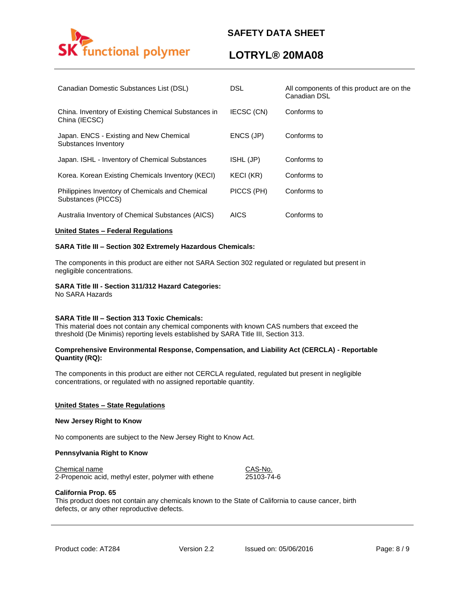# functional polymer

# **SAFETY DATA SHEET**

# **LOTRYL® 20MA08**

| Canadian Domestic Substances List (DSL)                               | <b>DSL</b>  | All components of this product are on the<br>Canadian DSL |
|-----------------------------------------------------------------------|-------------|-----------------------------------------------------------|
| China. Inventory of Existing Chemical Substances in<br>China (IECSC)  | IECSC (CN)  | Conforms to                                               |
| Japan. ENCS - Existing and New Chemical<br>Substances Inventory       | ENCS (JP)   | Conforms to                                               |
| Japan. ISHL - Inventory of Chemical Substances                        | ISHL (JP)   | Conforms to                                               |
| Korea. Korean Existing Chemicals Inventory (KECI)                     | KECI (KR)   | Conforms to                                               |
| Philippines Inventory of Chemicals and Chemical<br>Substances (PICCS) | PICCS (PH)  | Conforms to                                               |
| Australia Inventory of Chemical Substances (AICS)                     | <b>AICS</b> | Conforms to                                               |

## **United States – Federal Regulations**

## **SARA Title III – Section 302 Extremely Hazardous Chemicals:**

The components in this product are either not SARA Section 302 regulated or regulated but present in negligible concentrations.

## **SARA Title III - Section 311/312 Hazard Categories:**

No SARA Hazards

## **SARA Title III – Section 313 Toxic Chemicals:**

This material does not contain any chemical components with known CAS numbers that exceed the threshold (De Minimis) reporting levels established by SARA Title III, Section 313.

## **Comprehensive Environmental Response, Compensation, and Liability Act (CERCLA) - Reportable Quantity (RQ):**

The components in this product are either not CERCLA regulated, regulated but present in negligible concentrations, or regulated with no assigned reportable quantity.

#### **United States – State Regulations**

#### **New Jersey Right to Know**

No components are subject to the New Jersey Right to Know Act.

## **Pennsylvania Right to Know**

Chemical name CAS-No.

2-Propenoic acid, methyl ester, polymer with ethene 25103-74-6

## **California Prop. 65**

This product does not contain any chemicals known to the State of California to cause cancer, birth defects, or any other reproductive defects.